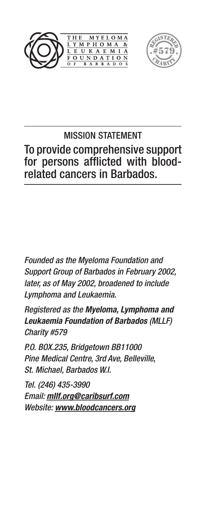



# MISSION STATEMENT To provide comprehensive support for persons afflicted with bloodrelated cancers in Barbados.

*Founded as the Myeloma Foundation and Support Group of Barbados in February 2002, later, as of May 2002, broadened to include Lymphoma and Leukaemia.*

*Registered as the Myeloma, Lymphoma and Leukaemia Foundation of Barbados (MLLF) Charity #579*

*P.O. BOX.235, Bridgetown BB11000 Pine Medical Centre, 3rd Ave, Belleville, St. Michael, Barbados W.I.*

*Tel. (246) 435-3990 Email: mllf.org@caribsurf.com Website: www.bloodcancers.org*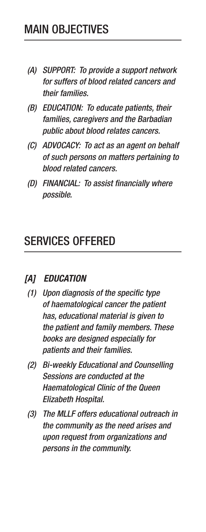- *(A) SUPPORT: To provide a support network for suffers of blood related cancers and their families.*
- *(B) EDUCATION: To educate patients, their families, caregivers and the Barbadian public about blood relates cancers.*
- *(C) ADVOCACY: To act as an agent on behalf of such persons on matters pertaining to blood related cancers.*
- *(D) FINANCIAL: To assist financially where possible.*

# SERVICES OFFERED

#### *[A] EDUCATION*

- *(1) Upon diagnosis of the specific type of haematological cancer the patient has, educational material is given to the patient and family members. These books are designed especially for patients and their families.*
- *(2) Bi-weekly Educational and Counselling Sessions are conducted at the Haematological Clinic of the Queen Elizabeth Hospital.*
- *(3) The MLLF offers educational outreach in the community as the need arises and upon request from organizations and persons in the community.*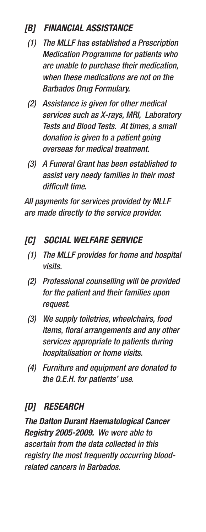#### *[B] FINANCIAL ASSISTANCE*

- *(1) The MLLF has established a Prescription Medication Programme for patients who are unable to purchase their medication, when these medications are not on the Barbados Drug Formulary.*
- *(2) Assistance is given for other medical services such as X-rays, MRI, Laboratory Tests and Blood Tests. At times, a small donation is given to a patient going overseas for medical treatment.*
- *(3) A Funeral Grant has been established to assist very needy families in their most difficult time.*

*All payments for services provided by MLLF are made directly to the service provider.*

- *[C] SOCIAL WELFARE SERVICE*
	- *(1) The MLLF provides for home and hospital visits.*
	- *(2) Professional counselling will be provided for the patient and their families upon request.*
	- *(3) We supply toiletries, wheelchairs, food items, floral arrangements and any other services appropriate to patients during hospitalisation or home visits.*
	- *(4) Furniture and equipment are donated to the Q.E.H. for patients' use.*

# *[D] RESEARCH*

*The Dalton Durant Haematological Cancer Registry 2005-2009. We were able to ascertain from the data collected in this registry the most frequently occurring bloodrelated cancers in Barbados.*